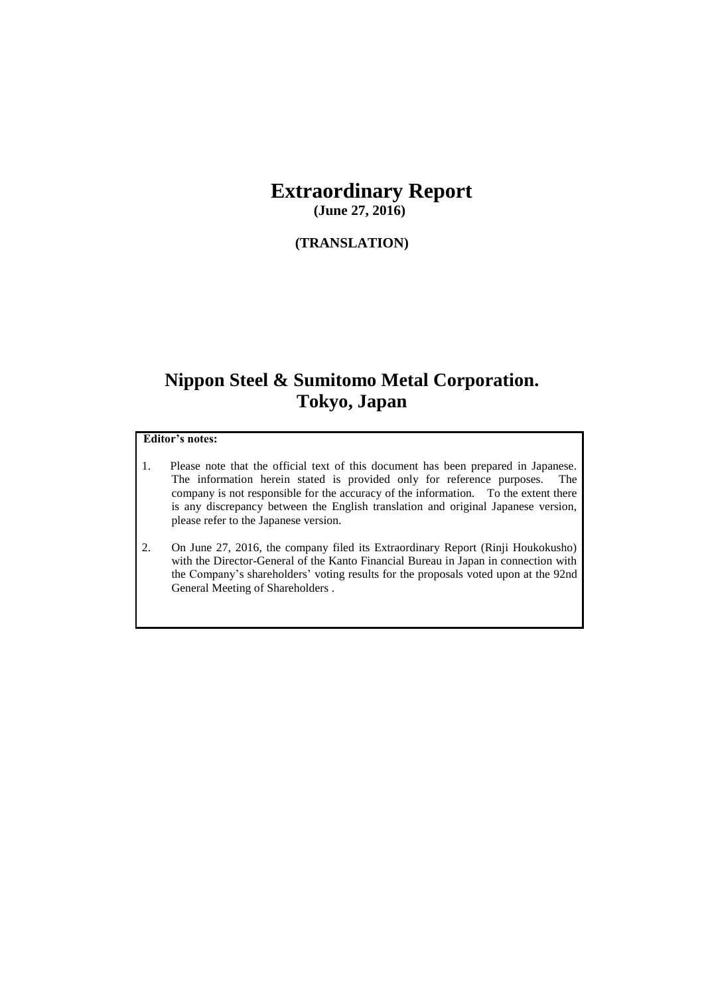### **Extraordinary Report (June 27, 2016)**

#### **(TRANSLATION)**

# **Nippon Steel & Sumitomo Metal Corporation. Tokyo, Japan**

#### **Editor's notes:**

- 1. Please note that the official text of this document has been prepared in Japanese. The information herein stated is provided only for reference purposes. The company is not responsible for the accuracy of the information. To the extent there is any discrepancy between the English translation and original Japanese version, please refer to the Japanese version.
- 2. On June 27, 2016, the company filed its Extraordinary Report (Rinji Houkokusho) with the Director-General of the Kanto Financial Bureau in Japan in connection with the Company's shareholders' voting results for the proposals voted upon at the 92nd General Meeting of Shareholders .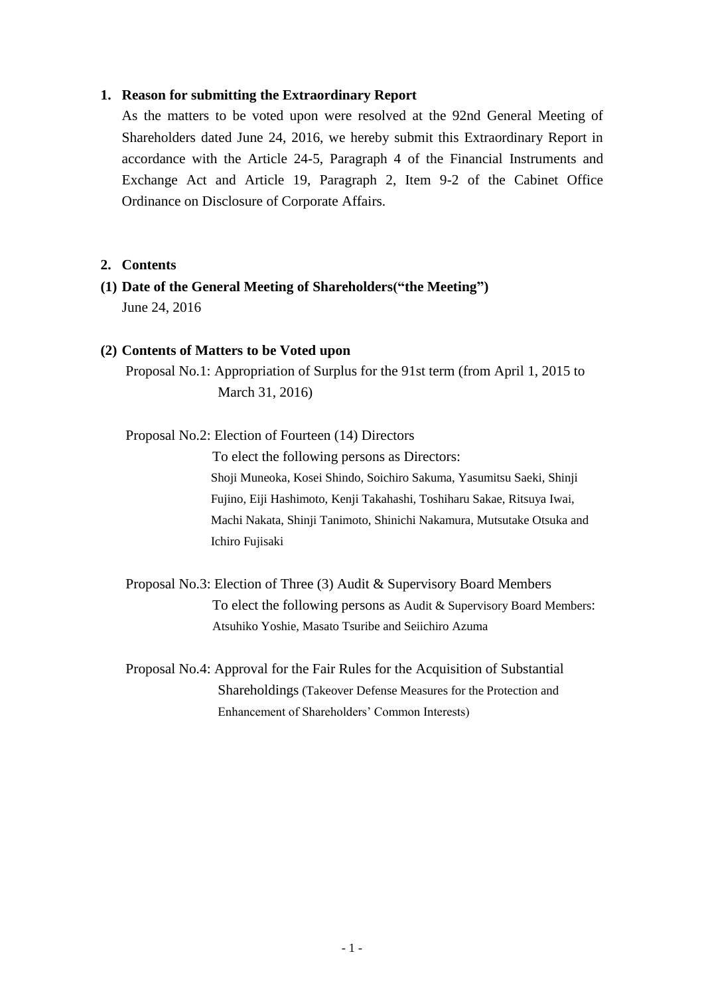#### **1. Reason for submitting the Extraordinary Report**

As the matters to be voted upon were resolved at the 92nd General Meeting of Shareholders dated June 24, 2016, we hereby submit this Extraordinary Report in accordance with the Article 24-5, Paragraph 4 of the Financial Instruments and Exchange Act and Article 19, Paragraph 2, Item 9-2 of the Cabinet Office Ordinance on Disclosure of Corporate Affairs.

#### **2. Contents**

**(1) Date of the General Meeting of Shareholders("the Meeting")**  June 24, 2016

#### **(2) Contents of Matters to be Voted upon**

Proposal No.1: Appropriation of Surplus for the 91st term (from April 1, 2015 to March 31, 2016)

Proposal No.2: Election of Fourteen (14) Directors

To elect the following persons as Directors: Shoji Muneoka, Kosei Shindo, Soichiro Sakuma, Yasumitsu Saeki, Shinji Fujino, Eiji Hashimoto, Kenji Takahashi, Toshiharu Sakae, Ritsuya Iwai, Machi Nakata, Shinji Tanimoto, Shinichi Nakamura, Mutsutake Otsuka and Ichiro Fujisaki

Proposal No.3: Election of Three (3) Audit & Supervisory Board Members To elect the following persons as Audit & Supervisory Board Members: Atsuhiko Yoshie, Masato Tsuribe and Seiichiro Azuma

Proposal No.4: Approval for the Fair Rules for the Acquisition of Substantial Shareholdings (Takeover Defense Measures for the Protection and Enhancement of Shareholders' Common Interests)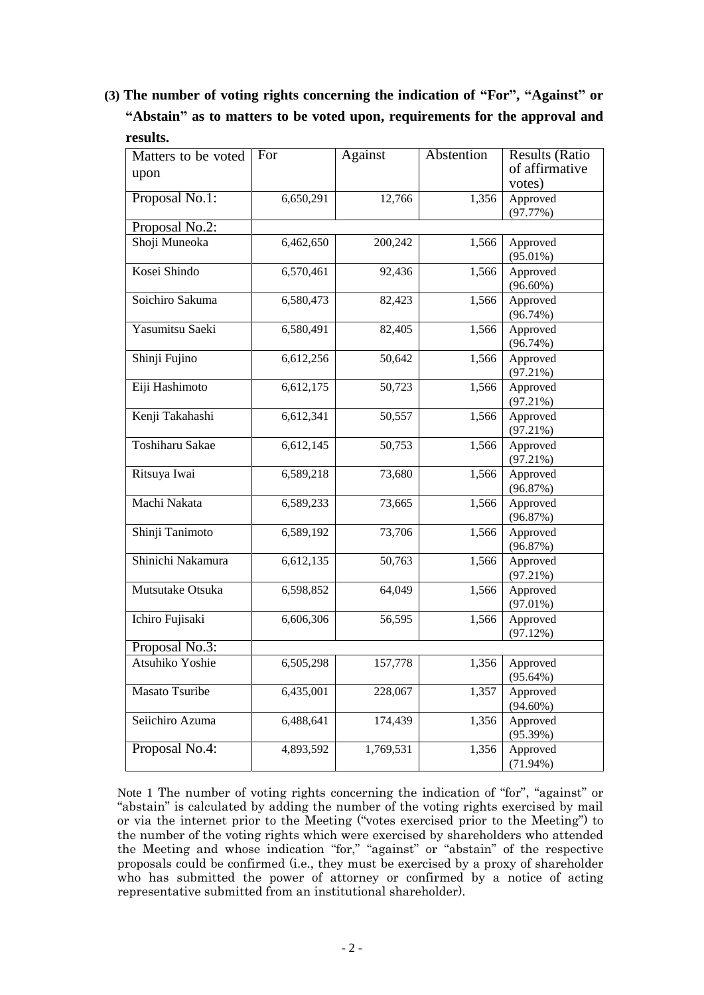## **(3) The number of voting rights concerning the indication of "For", "Against" or "Abstain" as to matters to be voted upon, requirements for the approval and results.**

| Matters to be voted | For       | Against   | Abstention | <b>Results (Ratio</b> |
|---------------------|-----------|-----------|------------|-----------------------|
| upon                |           |           |            | of affirmative        |
|                     |           |           |            | votes)                |
| Proposal No.1:      | 6,650,291 | 12,766    | 1,356      | Approved              |
|                     |           |           |            | (97.77%)              |
| Proposal No.2:      |           |           |            |                       |
| Shoji Muneoka       | 6,462,650 | 200,242   | 1,566      | Approved              |
|                     |           |           |            | $(95.01\%)$           |
| Kosei Shindo        | 6,570,461 | 92,436    | 1,566      | Approved              |
|                     |           |           |            | $(96.60\%)$           |
| Soichiro Sakuma     | 6,580,473 | 82,423    | 1,566      | Approved              |
|                     |           |           |            | $(96.74\%)$           |
| Yasumitsu Saeki     | 6,580,491 | 82,405    | 1,566      | Approved              |
|                     |           |           |            | $(96.74\%)$           |
| Shinji Fujino       | 6,612,256 | 50,642    | 1,566      | Approved              |
|                     |           |           |            | (97.21%)              |
| Eiji Hashimoto      | 6,612,175 | 50,723    | 1,566      | Approved              |
|                     |           |           |            | (97.21%)              |
| Kenji Takahashi     | 6,612,341 | 50,557    | 1,566      | Approved              |
|                     |           |           |            | (97.21%)              |
| Toshiharu Sakae     | 6,612,145 | 50,753    | 1,566      | Approved              |
|                     |           |           |            | (97.21%)              |
| Ritsuya Iwai        | 6,589,218 | 73,680    | 1,566      | Approved              |
|                     |           |           |            | (96.87%)              |
| Machi Nakata        | 6,589,233 | 73,665    | 1,566      | Approved              |
|                     |           |           |            | (96.87%)              |
| Shinji Tanimoto     | 6,589,192 | 73,706    | 1,566      | Approved              |
|                     |           |           |            | (96.87%)              |
| Shinichi Nakamura   | 6,612,135 | 50,763    | 1,566      | Approved              |
|                     |           |           |            | (97.21%)              |
| Mutsutake Otsuka    | 6,598,852 | 64,049    | 1,566      | Approved              |
|                     |           |           |            | $(97.01\%)$           |
| Ichiro Fujisaki     | 6,606,306 | 56,595    | 1,566      | Approved              |
|                     |           |           |            | (97.12%)              |
| Proposal No.3:      |           |           |            |                       |
| Atsuhiko Yoshie     | 6,505,298 | 157,778   | 1,356      | Approved              |
|                     |           |           |            | $(95.64\%)$           |
| Masato Tsuribe      | 6,435,001 | 228,067   | 1,357      | Approved              |
|                     |           |           |            | $(94.60\%)$           |
| Seiichiro Azuma     | 6,488,641 | 174,439   | 1,356      | Approved              |
|                     |           |           |            | (95.39%)              |
| Proposal No.4:      | 4,893,592 | 1,769,531 | 1,356      | Approved              |
|                     |           |           |            | $(71.94\%)$           |

Note 1 The number of voting rights concerning the indication of "for", "against" or "abstain" is calculated by adding the number of the voting rights exercised by mail or via the internet prior to the Meeting ("votes exercised prior to the Meeting") to the number of the voting rights which were exercised by shareholders who attended the Meeting and whose indication "for," "against" or "abstain" of the respective proposals could be confirmed (i.e., they must be exercised by a proxy of shareholder who has submitted the power of attorney or confirmed by a notice of acting representative submitted from an institutional shareholder).